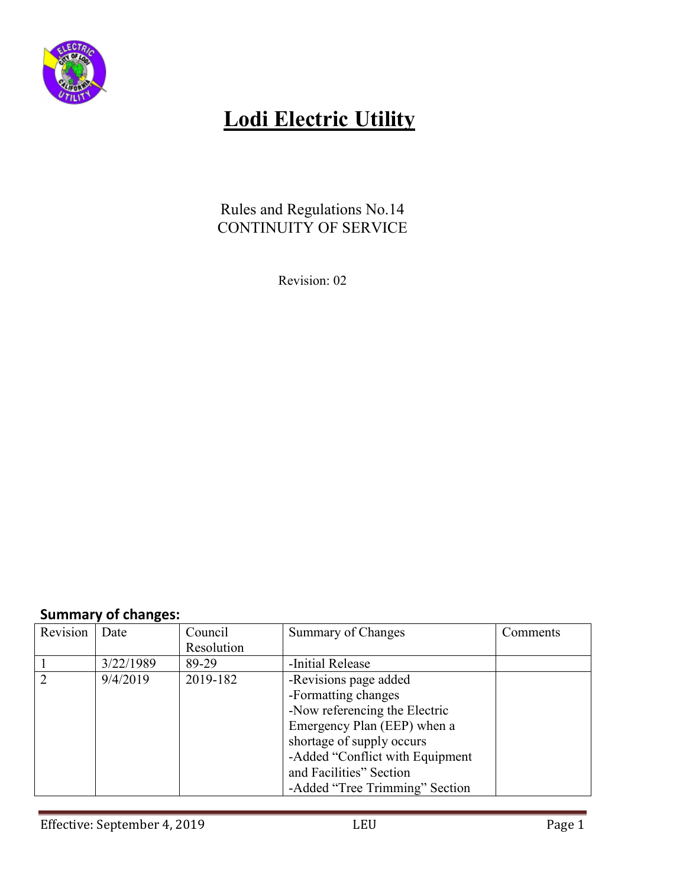

### Rules and Regulations No.14 CONTINUITY OF SERVICE

Revision: 02

## **Summary of changes:**

| Revision                    | Date      | Council    | Summary of Changes              | Comments |
|-----------------------------|-----------|------------|---------------------------------|----------|
|                             |           | Resolution |                                 |          |
|                             | 3/22/1989 | 89-29      | -Initial Release                |          |
| $\mathcal{D}_{\mathcal{A}}$ | 9/4/2019  | 2019-182   | -Revisions page added           |          |
|                             |           |            | -Formatting changes             |          |
|                             |           |            | -Now referencing the Electric   |          |
|                             |           |            | Emergency Plan (EEP) when a     |          |
|                             |           |            | shortage of supply occurs       |          |
|                             |           |            | -Added "Conflict with Equipment |          |
|                             |           |            | and Facilities" Section         |          |
|                             |           |            | -Added "Tree Trimming" Section  |          |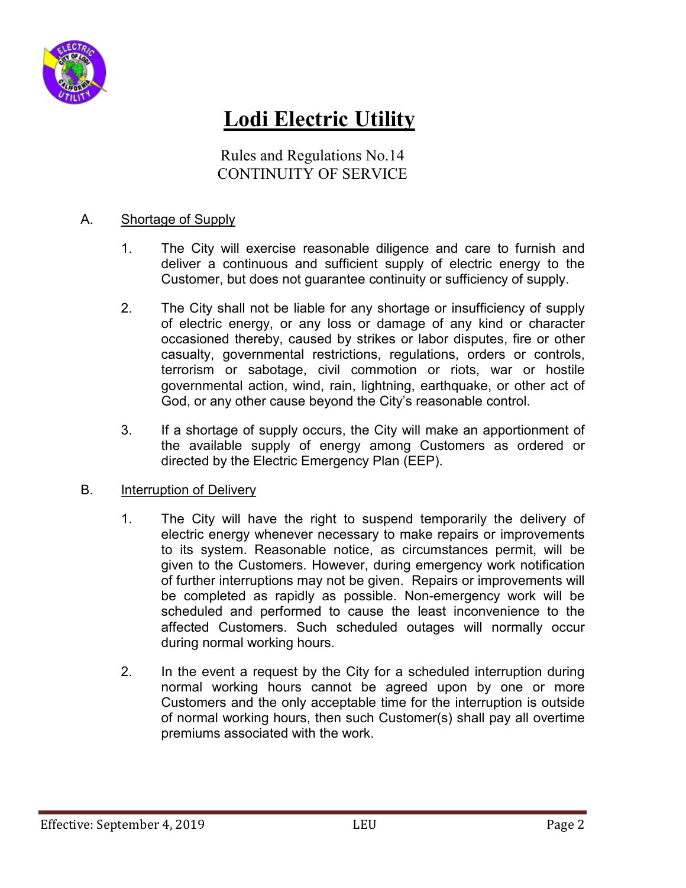

Rules and Regulations No.14 CONTINUITY OF SERVICE

#### A. Shortage of Supply

- 1. The City will exercise reasonable diligence and care to furnish and deliver a continuous and sufficient supply of electric energy to the Customer, but does not guarantee continuity or sufficiency of supply.
- 2. The City shall not be liable for any shortage or insufficiency of supply of electric energy, or any loss or damage of any kind or character occasioned thereby, caused by strikes or labor disputes, fire or other casualty, governmental restrictions, regulations, orders or controls, terrorism or sabotage, civil commotion or riots, war or hostile governmental action, wind, rain, lightning, earthquake, or other act of God, or any other cause beyond the City's reasonable control.
- 3. If a shortage of supply occurs, the City will make an apportionment of the available supply of energy among Customers as ordered or directed by the Electric Emergency Plan (EEP).

#### B. Interruption of Delivery

- 1. The City will have the right to suspend temporarily the delivery of electric energy whenever necessary to make repairs or improvements to its system. Reasonable notice, as circumstances permit, will be given to the Customers. However, during emergency work notification of further interruptions may not be given. Repairs or improvements will be completed as rapidly as possible. Non-emergency work will be scheduled and performed to cause the least inconvenience to the affected Customers. Such scheduled outages will normally occur during normal working hours.
- 2. In the event a request by the City for a scheduled interruption during normal working hours cannot be agreed upon by one or more Customers and the only acceptable time for the interruption is outside of normal working hours, then such Customer(s) shall pay all overtime premiums associated with the work.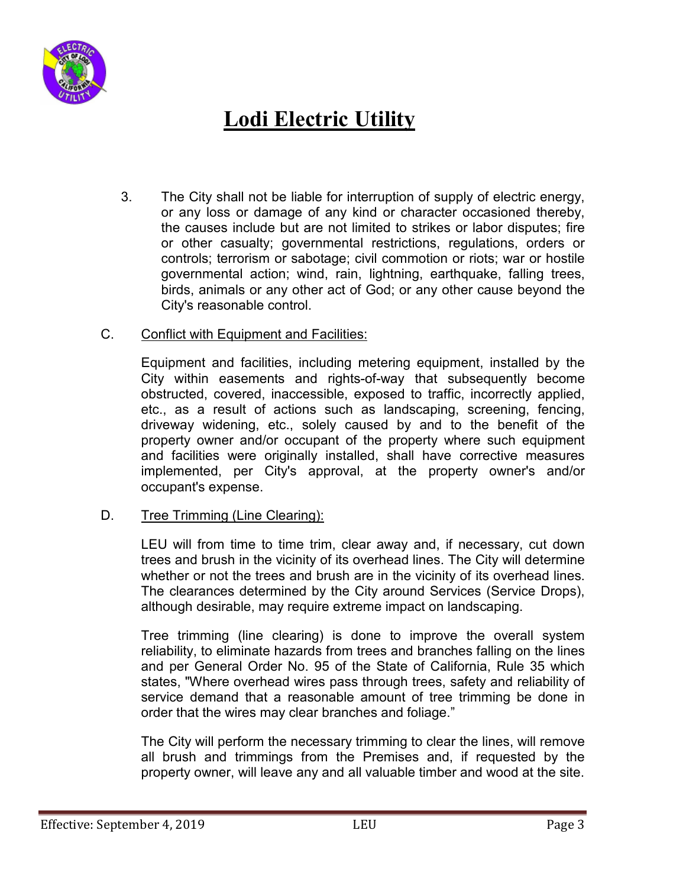

- 3. The City shall not be liable for interruption of supply of electric energy, or any loss or damage of any kind or character occasioned thereby, the causes include but are not limited to strikes or labor disputes; fire or other casualty; governmental restrictions, regulations, orders or controls; terrorism or sabotage; civil commotion or riots; war or hostile governmental action; wind, rain, lightning, earthquake, falling trees, birds, animals or any other act of God; or any other cause beyond the City's reasonable control.
- C. Conflict with Equipment and Facilities:

Equipment and facilities, including metering equipment, installed by the City within easements and rights-of-way that subsequently become obstructed, covered, inaccessible, exposed to traffic, incorrectly applied, etc., as a result of actions such as landscaping, screening, fencing, driveway widening, etc., solely caused by and to the benefit of the property owner and/or occupant of the property where such equipment and facilities were originally installed, shall have corrective measures implemented, per City's approval, at the property owner's and/or occupant's expense.

#### D. Tree Trimming (Line Clearing):

LEU will from time to time trim, clear away and, if necessary, cut down trees and brush in the vicinity of its overhead lines. The City will determine whether or not the trees and brush are in the vicinity of its overhead lines. The clearances determined by the City around Services (Service Drops), although desirable, may require extreme impact on landscaping.

Tree trimming (line clearing) is done to improve the overall system reliability, to eliminate hazards from trees and branches falling on the lines and per General Order No. 95 of the State of California, Rule 35 which states, "Where overhead wires pass through trees, safety and reliability of service demand that a reasonable amount of tree trimming be done in order that the wires may clear branches and foliage."

The City will perform the necessary trimming to clear the lines, will remove all brush and trimmings from the Premises and, if requested by the property owner, will leave any and all valuable timber and wood at the site.